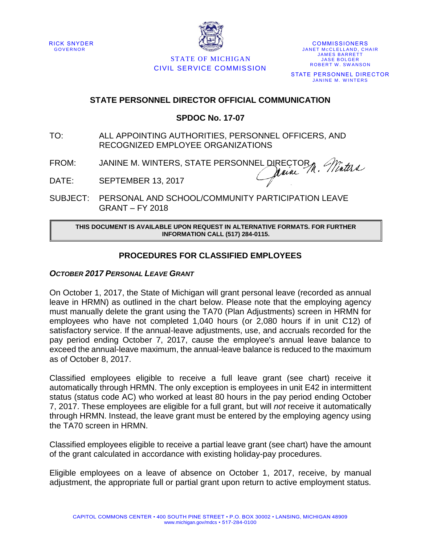



STATE OF MICHIGAN CIVIL SERVICE COMMISSION

**COMMISSIONERS** JANET MCCLELLAND, CHAIR **JAMES BARRETT JASE BOLGER** ROBERT W. SWANSON STATE PERSONNEL DIRECTOR JANINE M. WINTERS

## **STATE PERSONNEL DIRECTOR OFFICIAL COMMUNICATION**

## **SPDOC No. 17-07**

- TO: ALL APPOINTING AUTHORITIES, PERSONNEL OFFICERS, AND RECOGNIZED EMPLOYEE ORGANIZATIONS
- FROM: JANINE M. WINTERS, STATE PERSONNEL DIRECTORM. Minters
- DATE: SEPTEMBER 13, 2017

SUBJECT: PERSONAL AND SCHOOL/COMMUNITY PARTICIPATION LEAVE GRANT – FY 2018

#### **THIS DOCUMENT IS AVAILABLE UPON REQUEST IN ALTERNATIVE FORMATS. FOR FURTHER INFORMATION CALL (517) 284-0115.**

# **PROCEDURES FOR CLASSIFIED EMPLOYEES**

### *OCTOBER 2017 PERSONAL LEAVE GRANT*

On October 1, 2017, the State of Michigan will grant personal leave (recorded as annual leave in HRMN) as outlined in the chart below. Please note that the employing agency must manually delete the grant using the TA70 (Plan Adjustments) screen in HRMN for employees who have not completed 1,040 hours (or 2,080 hours if in unit C12) of satisfactory service. If the annual-leave adjustments, use, and accruals recorded for the pay period ending October 7, 2017, cause the employee's annual leave balance to exceed the annual-leave maximum, the annual-leave balance is reduced to the maximum as of October 8, 2017.

Classified employees eligible to receive a full leave grant (see chart) receive it automatically through HRMN. The only exception is employees in unit E42 in intermittent status (status code AC) who worked at least 80 hours in the pay period ending October 7, 2017. These employees are eligible for a full grant, but will *not* receive it automatically through HRMN. Instead, the leave grant must be entered by the employing agency using the TA70 screen in HRMN.

Classified employees eligible to receive a partial leave grant (see chart) have the amount of the grant calculated in accordance with existing holiday-pay procedures.

Eligible employees on a leave of absence on October 1, 2017, receive, by manual adjustment, the appropriate full or partial grant upon return to active employment status.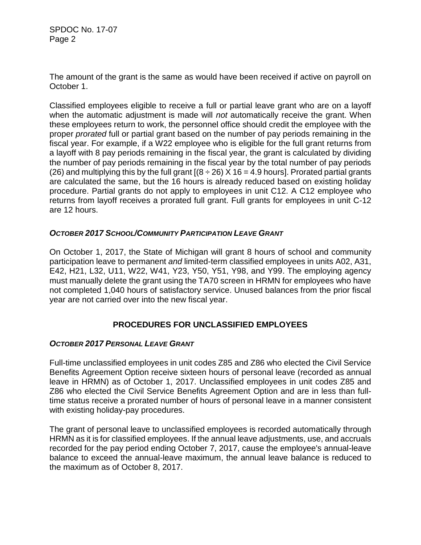SPDOC No. 17-07 Page 2

The amount of the grant is the same as would have been received if active on payroll on October 1.

Classified employees eligible to receive a full or partial leave grant who are on a layoff when the automatic adjustment is made will *not* automatically receive the grant. When these employees return to work, the personnel office should credit the employee with the proper *prorated* full or partial grant based on the number of pay periods remaining in the fiscal year. For example, if a W22 employee who is eligible for the full grant returns from a layoff with 8 pay periods remaining in the fiscal year, the grant is calculated by dividing the number of pay periods remaining in the fiscal year by the total number of pay periods (26) and multiplying this by the full grant  $[(8 \div 26) \times 16 = 4.9$  hours]. Prorated partial grants are calculated the same, but the 16 hours is already reduced based on existing holiday procedure. Partial grants do not apply to employees in unit C12. A C12 employee who returns from layoff receives a prorated full grant. Full grants for employees in unit C-12 are 12 hours.

### *OCTOBER 2017 SCHOOL/COMMUNITY PARTICIPATION LEAVE GRANT*

On October 1, 2017, the State of Michigan will grant 8 hours of school and community participation leave to permanent *and* limited-term classified employees in units A02, A31, E42, H21, L32, U11, W22, W41, Y23, Y50, Y51, Y98, and Y99. The employing agency must manually delete the grant using the TA70 screen in HRMN for employees who have not completed 1,040 hours of satisfactory service. Unused balances from the prior fiscal year are not carried over into the new fiscal year.

# **PROCEDURES FOR UNCLASSIFIED EMPLOYEES**

# *OCTOBER 2017 PERSONAL LEAVE GRANT*

Full-time unclassified employees in unit codes Z85 and Z86 who elected the Civil Service Benefits Agreement Option receive sixteen hours of personal leave (recorded as annual leave in HRMN) as of October 1, 2017. Unclassified employees in unit codes Z85 and Z86 who elected the Civil Service Benefits Agreement Option and are in less than fulltime status receive a prorated number of hours of personal leave in a manner consistent with existing holiday-pay procedures.

The grant of personal leave to unclassified employees is recorded automatically through HRMN as it is for classified employees. If the annual leave adjustments, use, and accruals recorded for the pay period ending October 7, 2017, cause the employee's annual-leave balance to exceed the annual-leave maximum, the annual leave balance is reduced to the maximum as of October 8, 2017.